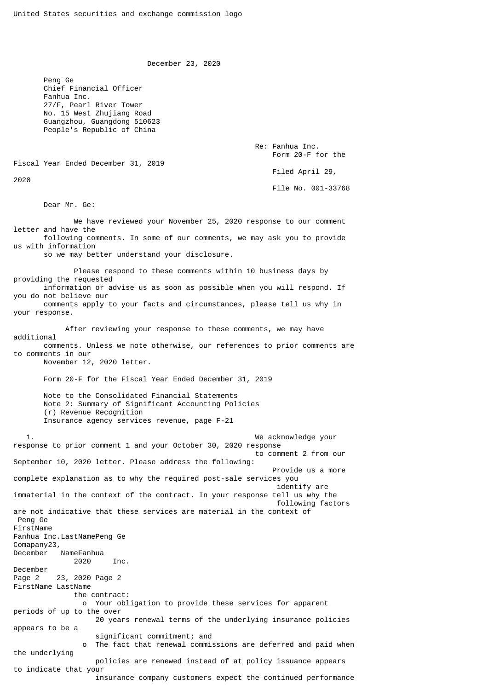December 23, 2020

 Peng Ge Chief Financial Officer Fanhua Inc. 27/F, Pearl River Tower No. 15 West Zhujiang Road Guangzhou, Guangdong 510623 People's Republic of China

> Re: Fanhua Inc. Form 20-F for the

Fiscal Year Ended December 31, 2019

2020

Filed April 29,

File No. 001-33768

Dear Mr. Ge:

 We have reviewed your November 25, 2020 response to our comment letter and have the following comments. In some of our comments, we may ask you to provide us with information so we may better understand your disclosure. Please respond to these comments within 10 business days by providing the requested information or advise us as soon as possible when you will respond. If you do not believe our comments apply to your facts and circumstances, please tell us why in your response. After reviewing your response to these comments, we may have additional comments. Unless we note otherwise, our references to prior comments are to comments in our November 12, 2020 letter. Form 20-F for the Fiscal Year Ended December 31, 2019 Note to the Consolidated Financial Statements Note 2: Summary of Significant Accounting Policies (r) Revenue Recognition Insurance agency services revenue, page F-21 1. We acknowledge your response to prior comment 1 and your October 30, 2020 response to comment 2 from our September 10, 2020 letter. Please address the following: Provide us a more complete explanation as to why the required post-sale services you identify are immaterial in the context of the contract. In your response tell us why the following factors are not indicative that these services are material in the context of Peng Ge FirstName Fanhua Inc.LastNamePeng Ge Comapany23, December NameFanhua 2020 Inc. December Page 2 23, 2020 Page 2 FirstName LastName the contract: o Your obligation to provide these services for apparent periods of up to the over 20 years renewal terms of the underlying insurance policies appears to be a significant commitment; and o The fact that renewal commissions are deferred and paid when the underlying policies are renewed instead of at policy issuance appears to indicate that your insurance company customers expect the continued performance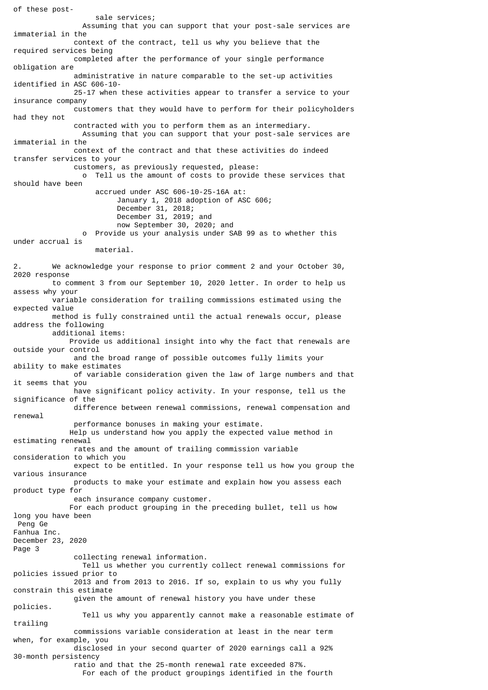of these post sale services; Assuming that you can support that your post-sale services are immaterial in the context of the contract, tell us why you believe that the required services being completed after the performance of your single performance obligation are administrative in nature comparable to the set-up activities identified in ASC 606-10- 25-17 when these activities appear to transfer a service to your insurance company customers that they would have to perform for their policyholders had they not contracted with you to perform them as an intermediary. Assuming that you can support that your post-sale services are immaterial in the context of the contract and that these activities do indeed transfer services to your customers, as previously requested, please: o Tell us the amount of costs to provide these services that should have been accrued under ASC 606-10-25-16A at: January 1, 2018 adoption of ASC 606; December 31, 2018; December 31, 2019; and now September 30, 2020; and o Provide us your analysis under SAB 99 as to whether this under accrual is material. 2. We acknowledge your response to prior comment 2 and your October 30, 2020 response to comment 3 from our September 10, 2020 letter. In order to help us assess why your variable consideration for trailing commissions estimated using the expected value method is fully constrained until the actual renewals occur, please address the following additional items: Provide us additional insight into why the fact that renewals are outside your control and the broad range of possible outcomes fully limits your ability to make estimates of variable consideration given the law of large numbers and that it seems that you have significant policy activity. In your response, tell us the significance of the difference between renewal commissions, renewal compensation and renewal performance bonuses in making your estimate. Help us understand how you apply the expected value method in estimating renewal rates and the amount of trailing commission variable consideration to which you expect to be entitled. In your response tell us how you group the various insurance products to make your estimate and explain how you assess each product type for each insurance company customer. For each product grouping in the preceding bullet, tell us how long you have been Peng Ge Fanhua Inc. December 23, 2020 Page 3 collecting renewal information. Tell us whether you currently collect renewal commissions for policies issued prior to 2013 and from 2013 to 2016. If so, explain to us why you fully constrain this estimate given the amount of renewal history you have under these policies. Tell us why you apparently cannot make a reasonable estimate of trailing commissions variable consideration at least in the near term when, for example, you disclosed in your second quarter of 2020 earnings call a 92% 30-month persistency ratio and that the 25-month renewal rate exceeded 87%. For each of the product groupings identified in the fourth